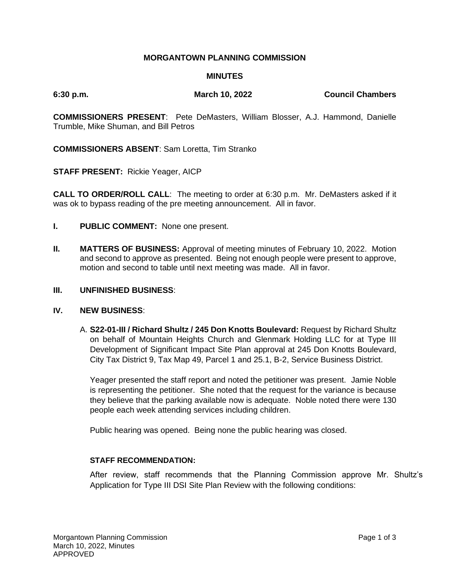## **MORGANTOWN PLANNING COMMISSION**

### **MINUTES**

**6:30 p.m. March 10, 2022 Council Chambers**

**COMMISSIONERS PRESENT**: Pete DeMasters, William Blosser, A.J. Hammond, Danielle Trumble, Mike Shuman, and Bill Petros

**COMMISSIONERS ABSENT**: Sam Loretta, Tim Stranko

**STAFF PRESENT:** Rickie Yeager, AICP

**CALL TO ORDER/ROLL CALL**: The meeting to order at 6:30 p.m. Mr. DeMasters asked if it was ok to bypass reading of the pre meeting announcement. All in favor.

- **I. PUBLIC COMMENT:** None one present.
- **II. MATTERS OF BUSINESS:** Approval of meeting minutes of February 10, 2022. Motion and second to approve as presented. Being not enough people were present to approve, motion and second to table until next meeting was made. All in favor.

#### **III. UNFINISHED BUSINESS**:

#### **IV. NEW BUSINESS**:

A. **S22-01-III / Richard Shultz / 245 Don Knotts Boulevard:** Request by Richard Shultz on behalf of Mountain Heights Church and Glenmark Holding LLC for at Type III Development of Significant Impact Site Plan approval at 245 Don Knotts Boulevard, City Tax District 9, Tax Map 49, Parcel 1 and 25.1, B-2, Service Business District.

Yeager presented the staff report and noted the petitioner was present. Jamie Noble is representing the petitioner. She noted that the request for the variance is because they believe that the parking available now is adequate. Noble noted there were 130 people each week attending services including children.

Public hearing was opened. Being none the public hearing was closed.

#### **STAFF RECOMMENDATION:**

After review, staff recommends that the Planning Commission approve Mr. Shultz's Application for Type III DSI Site Plan Review with the following conditions: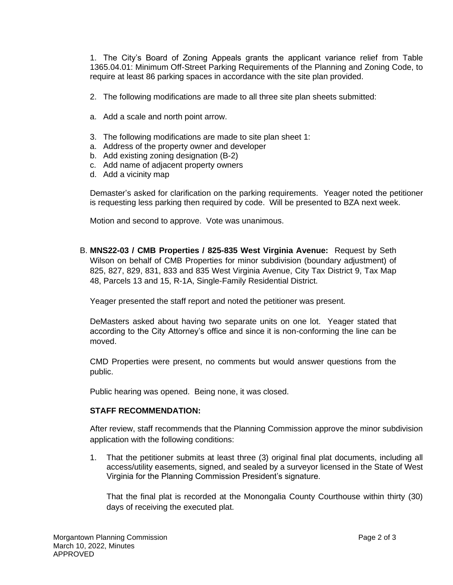1. The City's Board of Zoning Appeals grants the applicant variance relief from Table 1365.04.01: Minimum Off-Street Parking Requirements of the Planning and Zoning Code, to require at least 86 parking spaces in accordance with the site plan provided.

- 2. The following modifications are made to all three site plan sheets submitted:
- a. Add a scale and north point arrow.
- 3. The following modifications are made to site plan sheet 1:
- a. Address of the property owner and developer
- b. Add existing zoning designation (B-2)
- c. Add name of adjacent property owners
- d. Add a vicinity map

Demaster's asked for clarification on the parking requirements. Yeager noted the petitioner is requesting less parking then required by code. Will be presented to BZA next week.

Motion and second to approve. Vote was unanimous.

B. **MNS22-03 / CMB Properties / 825-835 West Virginia Avenue:** Request by Seth Wilson on behalf of CMB Properties for minor subdivision (boundary adjustment) of 825, 827, 829, 831, 833 and 835 West Virginia Avenue, City Tax District 9, Tax Map 48, Parcels 13 and 15, R-1A, Single-Family Residential District.

Yeager presented the staff report and noted the petitioner was present.

DeMasters asked about having two separate units on one lot. Yeager stated that according to the City Attorney's office and since it is non-conforming the line can be moved.

CMD Properties were present, no comments but would answer questions from the public.

Public hearing was opened. Being none, it was closed.

## **STAFF RECOMMENDATION:**

After review, staff recommends that the Planning Commission approve the minor subdivision application with the following conditions:

1. That the petitioner submits at least three (3) original final plat documents, including all access/utility easements, signed, and sealed by a surveyor licensed in the State of West Virginia for the Planning Commission President's signature.

That the final plat is recorded at the Monongalia County Courthouse within thirty (30) days of receiving the executed plat.